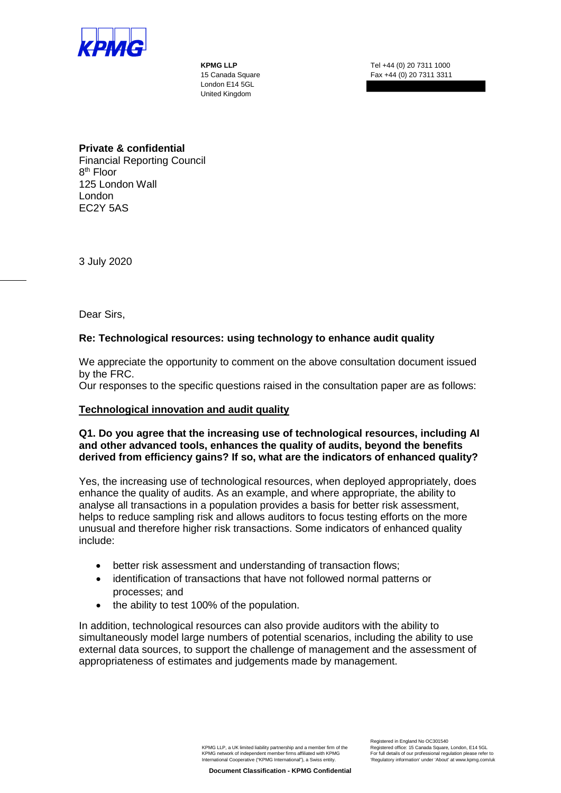

London E14 5GL United Kingdom

**KPMG LLP** Tel +44 (0) 20 7311 1000 15 Canada Square Fax +44 (0) 20 7311 3311

# **Private & confidential**

Financial Reporting Council 8th Floor 125 London Wall London EC2Y 5AS

3 July 2020

Dear Sirs,

# **Re: Technological resources: using technology to enhance audit quality**

We appreciate the opportunity to comment on the above consultation document issued by the FRC.

Our responses to the specific questions raised in the consultation paper are as follows:

# **Technological innovation and audit quality**

# **Q1. Do you agree that the increasing use of technological resources, including AI and other advanced tools, enhances the quality of audits, beyond the benefits derived from efficiency gains? If so, what are the indicators of enhanced quality?**

Yes, the increasing use of technological resources, when deployed appropriately, does enhance the quality of audits. As an example, and where appropriate, the ability to analyse all transactions in a population provides a basis for better risk assessment, helps to reduce sampling risk and allows auditors to focus testing efforts on the more unusual and therefore higher risk transactions. Some indicators of enhanced quality include:

- better risk assessment and understanding of transaction flows;
- identification of transactions that have not followed normal patterns or processes; and
- the ability to test 100% of the population.

In addition, technological resources can also provide auditors with the ability to simultaneously model large numbers of potential scenarios, including the ability to use external data sources, to support the challenge of management and the assessment of appropriateness of estimates and judgements made by management.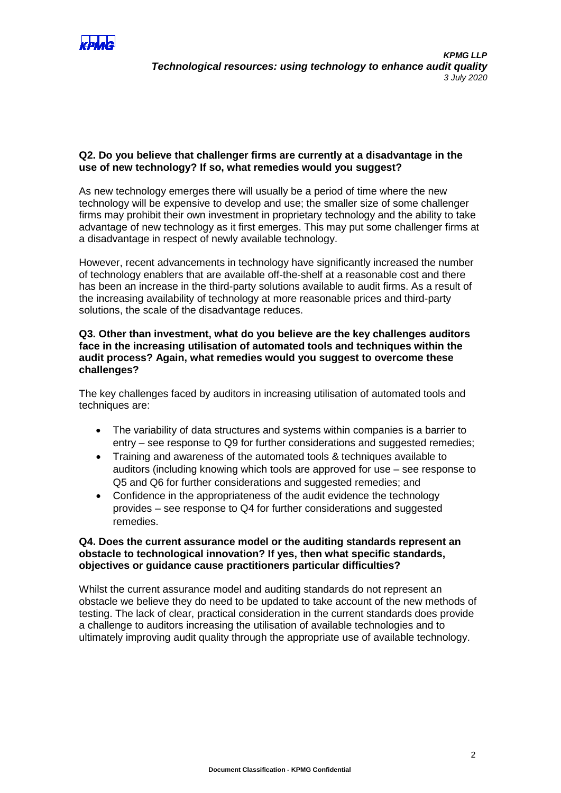

# **Q2. Do you believe that challenger firms are currently at a disadvantage in the use of new technology? If so, what remedies would you suggest?**

As new technology emerges there will usually be a period of time where the new technology will be expensive to develop and use; the smaller size of some challenger firms may prohibit their own investment in proprietary technology and the ability to take advantage of new technology as it first emerges. This may put some challenger firms at a disadvantage in respect of newly available technology.

However, recent advancements in technology have significantly increased the number of technology enablers that are available off-the-shelf at a reasonable cost and there has been an increase in the third-party solutions available to audit firms. As a result of the increasing availability of technology at more reasonable prices and third-party solutions, the scale of the disadvantage reduces.

# **Q3. Other than investment, what do you believe are the key challenges auditors face in the increasing utilisation of automated tools and techniques within the audit process? Again, what remedies would you suggest to overcome these challenges?**

The key challenges faced by auditors in increasing utilisation of automated tools and techniques are:

- The variability of data structures and systems within companies is a barrier to entry – see response to Q9 for further considerations and suggested remedies;
- Training and awareness of the automated tools & techniques available to auditors (including knowing which tools are approved for use – see response to Q5 and Q6 for further considerations and suggested remedies; and
- Confidence in the appropriateness of the audit evidence the technology provides – see response to Q4 for further considerations and suggested remedies.

# **Q4. Does the current assurance model or the auditing standards represent an obstacle to technological innovation? If yes, then what specific standards, objectives or guidance cause practitioners particular difficulties?**

Whilst the current assurance model and auditing standards do not represent an obstacle we believe they do need to be updated to take account of the new methods of testing. The lack of clear, practical consideration in the current standards does provide a challenge to auditors increasing the utilisation of available technologies and to ultimately improving audit quality through the appropriate use of available technology.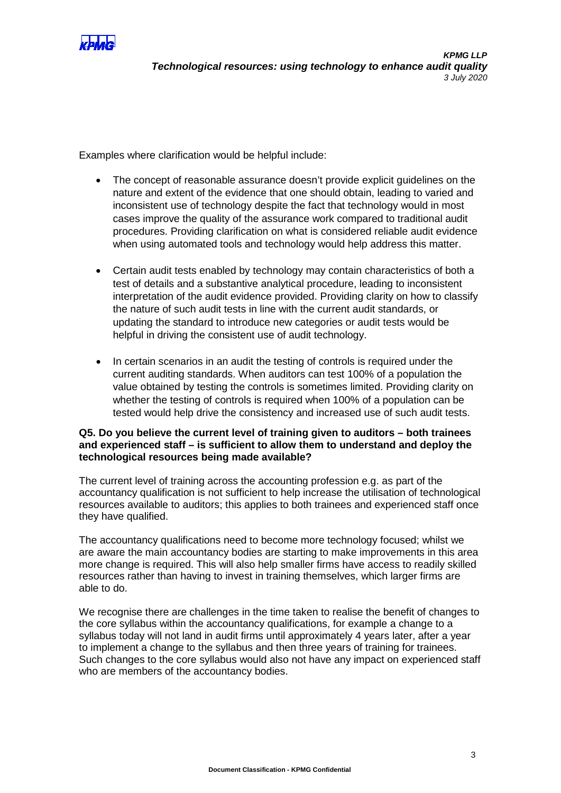

Examples where clarification would be helpful include:

- The concept of reasonable assurance doesn't provide explicit guidelines on the nature and extent of the evidence that one should obtain, leading to varied and inconsistent use of technology despite the fact that technology would in most cases improve the quality of the assurance work compared to traditional audit procedures. Providing clarification on what is considered reliable audit evidence when using automated tools and technology would help address this matter.
- Certain audit tests enabled by technology may contain characteristics of both a test of details and a substantive analytical procedure, leading to inconsistent interpretation of the audit evidence provided. Providing clarity on how to classify the nature of such audit tests in line with the current audit standards, or updating the standard to introduce new categories or audit tests would be helpful in driving the consistent use of audit technology.
- In certain scenarios in an audit the testing of controls is required under the current auditing standards. When auditors can test 100% of a population the value obtained by testing the controls is sometimes limited. Providing clarity on whether the testing of controls is required when 100% of a population can be tested would help drive the consistency and increased use of such audit tests.

# **Q5. Do you believe the current level of training given to auditors – both trainees and experienced staff – is sufficient to allow them to understand and deploy the technological resources being made available?**

The current level of training across the accounting profession e.g. as part of the accountancy qualification is not sufficient to help increase the utilisation of technological resources available to auditors; this applies to both trainees and experienced staff once they have qualified.

The accountancy qualifications need to become more technology focused; whilst we are aware the main accountancy bodies are starting to make improvements in this area more change is required. This will also help smaller firms have access to readily skilled resources rather than having to invest in training themselves, which larger firms are able to do.

We recognise there are challenges in the time taken to realise the benefit of changes to the core syllabus within the accountancy qualifications, for example a change to a syllabus today will not land in audit firms until approximately 4 years later, after a year to implement a change to the syllabus and then three years of training for trainees. Such changes to the core syllabus would also not have any impact on experienced staff who are members of the accountancy bodies.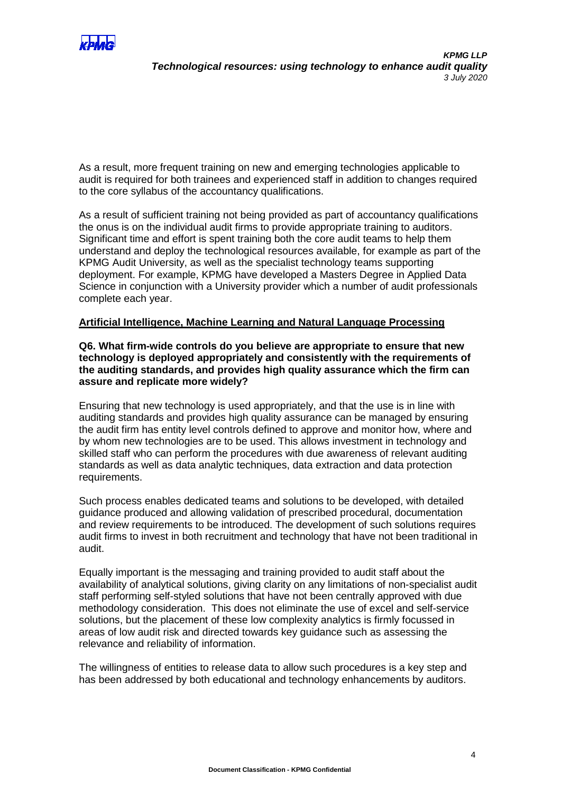

As a result, more frequent training on new and emerging technologies applicable to audit is required for both trainees and experienced staff in addition to changes required to the core syllabus of the accountancy qualifications.

As a result of sufficient training not being provided as part of accountancy qualifications the onus is on the individual audit firms to provide appropriate training to auditors. Significant time and effort is spent training both the core audit teams to help them understand and deploy the technological resources available, for example as part of the KPMG Audit University, as well as the specialist technology teams supporting deployment. For example, KPMG have developed a Masters Degree in Applied Data Science in conjunction with a University provider which a number of audit professionals complete each year.

### **Artificial Intelligence, Machine Learning and Natural Language Processing**

**Q6. What firm-wide controls do you believe are appropriate to ensure that new technology is deployed appropriately and consistently with the requirements of the auditing standards, and provides high quality assurance which the firm can assure and replicate more widely?**

Ensuring that new technology is used appropriately, and that the use is in line with auditing standards and provides high quality assurance can be managed by ensuring the audit firm has entity level controls defined to approve and monitor how, where and by whom new technologies are to be used. This allows investment in technology and skilled staff who can perform the procedures with due awareness of relevant auditing standards as well as data analytic techniques, data extraction and data protection requirements.

Such process enables dedicated teams and solutions to be developed, with detailed guidance produced and allowing validation of prescribed procedural, documentation and review requirements to be introduced. The development of such solutions requires audit firms to invest in both recruitment and technology that have not been traditional in audit.

Equally important is the messaging and training provided to audit staff about the availability of analytical solutions, giving clarity on any limitations of non-specialist audit staff performing self-styled solutions that have not been centrally approved with due methodology consideration. This does not eliminate the use of excel and self-service solutions, but the placement of these low complexity analytics is firmly focussed in areas of low audit risk and directed towards key guidance such as assessing the relevance and reliability of information.

The willingness of entities to release data to allow such procedures is a key step and has been addressed by both educational and technology enhancements by auditors.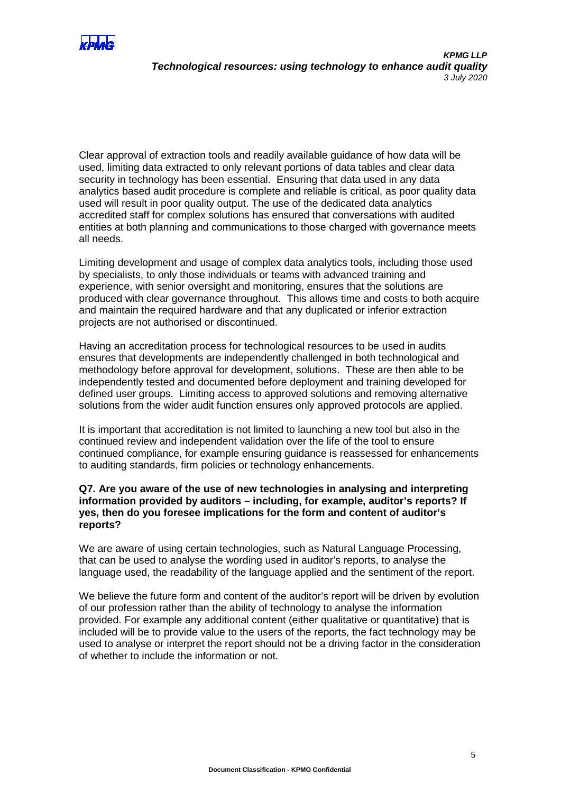

Clear approval of extraction tools and readily available guidance of how data will be used, limiting data extracted to only relevant portions of data tables and clear data security in technology has been essential. Ensuring that data used in any data analytics based audit procedure is complete and reliable is critical, as poor quality data used will result in poor quality output. The use of the dedicated data analytics accredited staff for complex solutions has ensured that conversations with audited entities at both planning and communications to those charged with governance meets all needs.

Limiting development and usage of complex data analytics tools, including those used by specialists, to only those individuals or teams with advanced training and experience, with senior oversight and monitoring, ensures that the solutions are produced with clear governance throughout. This allows time and costs to both acquire and maintain the required hardware and that any duplicated or inferior extraction projects are not authorised or discontinued.

Having an accreditation process for technological resources to be used in audits ensures that developments are independently challenged in both technological and methodology before approval for development, solutions. These are then able to be independently tested and documented before deployment and training developed for defined user groups. Limiting access to approved solutions and removing alternative solutions from the wider audit function ensures only approved protocols are applied.

It is important that accreditation is not limited to launching a new tool but also in the continued review and independent validation over the life of the tool to ensure continued compliance, for example ensuring guidance is reassessed for enhancements to auditing standards, firm policies or technology enhancements.

### **Q7. Are you aware of the use of new technologies in analysing and interpreting information provided by auditors – including, for example, auditor's reports? If yes, then do you foresee implications for the form and content of auditor's reports?**

We are aware of using certain technologies, such as Natural Language Processing, that can be used to analyse the wording used in auditor's reports, to analyse the language used, the readability of the language applied and the sentiment of the report.

We believe the future form and content of the auditor's report will be driven by evolution of our profession rather than the ability of technology to analyse the information provided. For example any additional content (either qualitative or quantitative) that is included will be to provide value to the users of the reports, the fact technology may be used to analyse or interpret the report should not be a driving factor in the consideration of whether to include the information or not.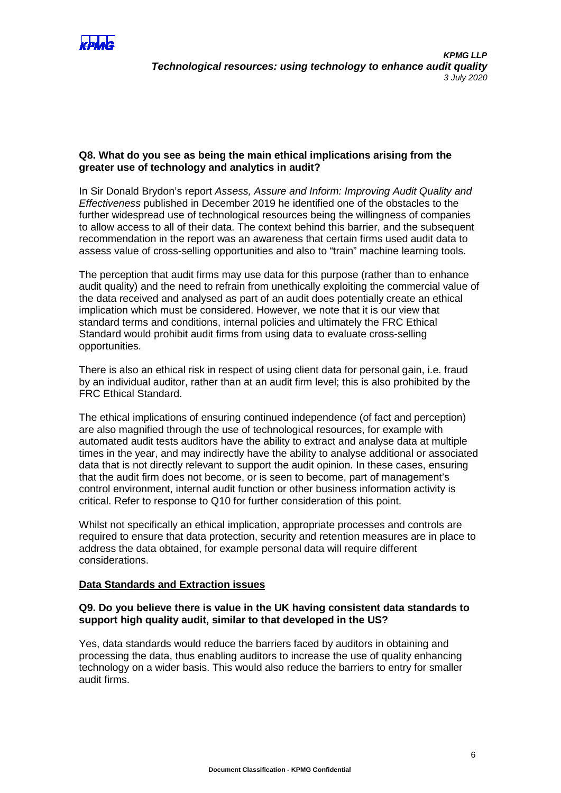

# **Q8. What do you see as being the main ethical implications arising from the greater use of technology and analytics in audit?**

In Sir Donald Brydon's report *Assess, Assure and Inform: Improving Audit Quality and Effectiveness* published in December 2019 he identified one of the obstacles to the further widespread use of technological resources being the willingness of companies to allow access to all of their data. The context behind this barrier, and the subsequent recommendation in the report was an awareness that certain firms used audit data to assess value of cross-selling opportunities and also to "train" machine learning tools.

The perception that audit firms may use data for this purpose (rather than to enhance audit quality) and the need to refrain from unethically exploiting the commercial value of the data received and analysed as part of an audit does potentially create an ethical implication which must be considered. However, we note that it is our view that standard terms and conditions, internal policies and ultimately the FRC Ethical Standard would prohibit audit firms from using data to evaluate cross-selling opportunities.

There is also an ethical risk in respect of using client data for personal gain, i.e. fraud by an individual auditor, rather than at an audit firm level; this is also prohibited by the FRC Ethical Standard.

The ethical implications of ensuring continued independence (of fact and perception) are also magnified through the use of technological resources, for example with automated audit tests auditors have the ability to extract and analyse data at multiple times in the year, and may indirectly have the ability to analyse additional or associated data that is not directly relevant to support the audit opinion. In these cases, ensuring that the audit firm does not become, or is seen to become, part of management's control environment, internal audit function or other business information activity is critical. Refer to response to Q10 for further consideration of this point.

Whilst not specifically an ethical implication, appropriate processes and controls are required to ensure that data protection, security and retention measures are in place to address the data obtained, for example personal data will require different considerations.

# **Data Standards and Extraction issues**

### **Q9. Do you believe there is value in the UK having consistent data standards to support high quality audit, similar to that developed in the US?**

Yes, data standards would reduce the barriers faced by auditors in obtaining and processing the data, thus enabling auditors to increase the use of quality enhancing technology on a wider basis. This would also reduce the barriers to entry for smaller audit firms.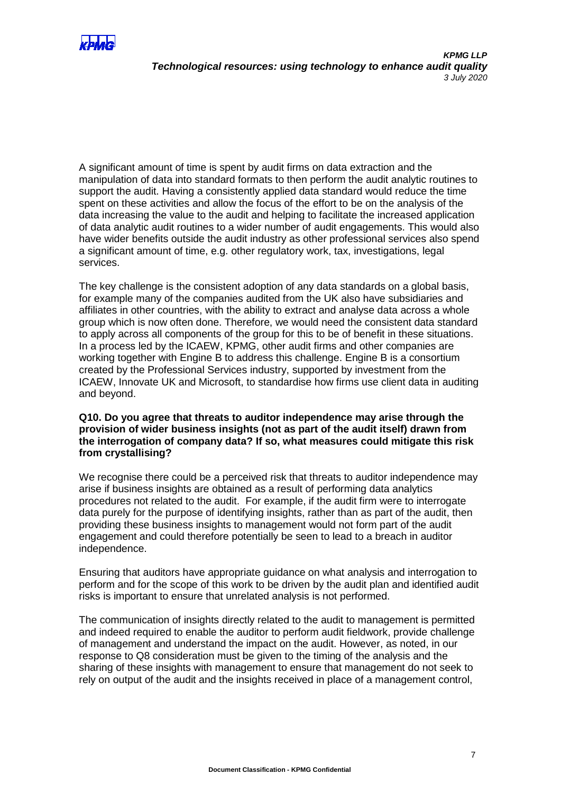

A significant amount of time is spent by audit firms on data extraction and the manipulation of data into standard formats to then perform the audit analytic routines to support the audit. Having a consistently applied data standard would reduce the time spent on these activities and allow the focus of the effort to be on the analysis of the data increasing the value to the audit and helping to facilitate the increased application of data analytic audit routines to a wider number of audit engagements. This would also have wider benefits outside the audit industry as other professional services also spend a significant amount of time, e.g. other regulatory work, tax, investigations, legal services.

The key challenge is the consistent adoption of any data standards on a global basis, for example many of the companies audited from the UK also have subsidiaries and affiliates in other countries, with the ability to extract and analyse data across a whole group which is now often done. Therefore, we would need the consistent data standard to apply across all components of the group for this to be of benefit in these situations. In a process led by the ICAEW, KPMG, other audit firms and other companies are working together with Engine B to address this challenge. Engine B is a consortium created by the Professional Services industry, supported by investment from the ICAEW, Innovate UK and Microsoft, to standardise how firms use client data in auditing and beyond.

# **Q10. Do you agree that threats to auditor independence may arise through the provision of wider business insights (not as part of the audit itself) drawn from the interrogation of company data? If so, what measures could mitigate this risk from crystallising?**

We recognise there could be a perceived risk that threats to auditor independence may arise if business insights are obtained as a result of performing data analytics procedures not related to the audit. For example, if the audit firm were to interrogate data purely for the purpose of identifying insights, rather than as part of the audit, then providing these business insights to management would not form part of the audit engagement and could therefore potentially be seen to lead to a breach in auditor independence.

Ensuring that auditors have appropriate guidance on what analysis and interrogation to perform and for the scope of this work to be driven by the audit plan and identified audit risks is important to ensure that unrelated analysis is not performed.

The communication of insights directly related to the audit to management is permitted and indeed required to enable the auditor to perform audit fieldwork, provide challenge of management and understand the impact on the audit. However, as noted, in our response to Q8 consideration must be given to the timing of the analysis and the sharing of these insights with management to ensure that management do not seek to rely on output of the audit and the insights received in place of a management control,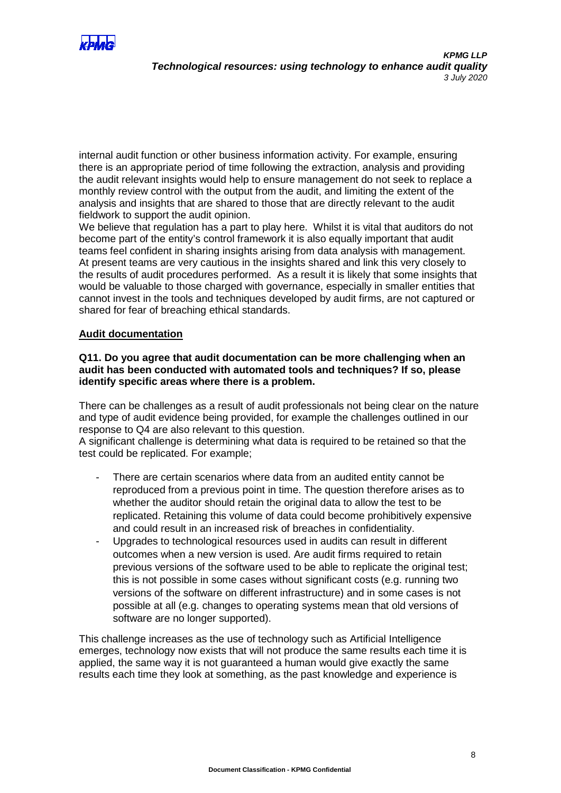

internal audit function or other business information activity. For example, ensuring there is an appropriate period of time following the extraction, analysis and providing the audit relevant insights would help to ensure management do not seek to replace a monthly review control with the output from the audit, and limiting the extent of the analysis and insights that are shared to those that are directly relevant to the audit fieldwork to support the audit opinion.

We believe that regulation has a part to play here. Whilst it is vital that auditors do not become part of the entity's control framework it is also equally important that audit teams feel confident in sharing insights arising from data analysis with management. At present teams are very cautious in the insights shared and link this very closely to the results of audit procedures performed. As a result it is likely that some insights that would be valuable to those charged with governance, especially in smaller entities that cannot invest in the tools and techniques developed by audit firms, are not captured or shared for fear of breaching ethical standards.

# **Audit documentation**

# **Q11. Do you agree that audit documentation can be more challenging when an audit has been conducted with automated tools and techniques? If so, please identify specific areas where there is a problem.**

There can be challenges as a result of audit professionals not being clear on the nature and type of audit evidence being provided, for example the challenges outlined in our response to Q4 are also relevant to this question.

A significant challenge is determining what data is required to be retained so that the test could be replicated. For example;

- There are certain scenarios where data from an audited entity cannot be reproduced from a previous point in time. The question therefore arises as to whether the auditor should retain the original data to allow the test to be replicated. Retaining this volume of data could become prohibitively expensive and could result in an increased risk of breaches in confidentiality.
- Upgrades to technological resources used in audits can result in different outcomes when a new version is used. Are audit firms required to retain previous versions of the software used to be able to replicate the original test; this is not possible in some cases without significant costs (e.g. running two versions of the software on different infrastructure) and in some cases is not possible at all (e.g. changes to operating systems mean that old versions of software are no longer supported).

This challenge increases as the use of technology such as Artificial Intelligence emerges, technology now exists that will not produce the same results each time it is applied, the same way it is not guaranteed a human would give exactly the same results each time they look at something, as the past knowledge and experience is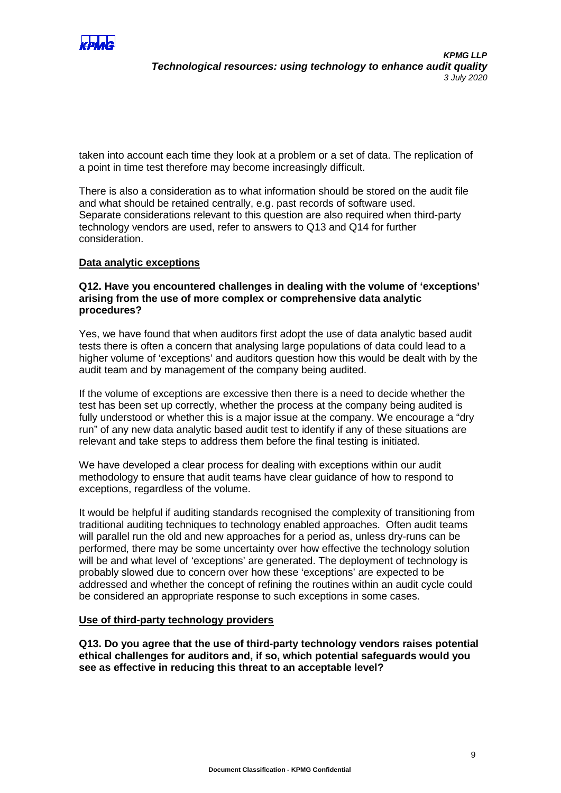

taken into account each time they look at a problem or a set of data. The replication of a point in time test therefore may become increasingly difficult.

There is also a consideration as to what information should be stored on the audit file and what should be retained centrally, e.g. past records of software used. Separate considerations relevant to this question are also required when third-party technology vendors are used, refer to answers to Q13 and Q14 for further consideration.

### **Data analytic exceptions**

#### **Q12. Have you encountered challenges in dealing with the volume of 'exceptions' arising from the use of more complex or comprehensive data analytic procedures?**

Yes, we have found that when auditors first adopt the use of data analytic based audit tests there is often a concern that analysing large populations of data could lead to a higher volume of 'exceptions' and auditors question how this would be dealt with by the audit team and by management of the company being audited.

If the volume of exceptions are excessive then there is a need to decide whether the test has been set up correctly, whether the process at the company being audited is fully understood or whether this is a major issue at the company. We encourage a "dry run" of any new data analytic based audit test to identify if any of these situations are relevant and take steps to address them before the final testing is initiated.

We have developed a clear process for dealing with exceptions within our audit methodology to ensure that audit teams have clear guidance of how to respond to exceptions, regardless of the volume.

It would be helpful if auditing standards recognised the complexity of transitioning from traditional auditing techniques to technology enabled approaches. Often audit teams will parallel run the old and new approaches for a period as, unless dry-runs can be performed, there may be some uncertainty over how effective the technology solution will be and what level of 'exceptions' are generated. The deployment of technology is probably slowed due to concern over how these 'exceptions' are expected to be addressed and whether the concept of refining the routines within an audit cycle could be considered an appropriate response to such exceptions in some cases.

#### **Use of third-party technology providers**

**Q13. Do you agree that the use of third-party technology vendors raises potential ethical challenges for auditors and, if so, which potential safeguards would you see as effective in reducing this threat to an acceptable level?**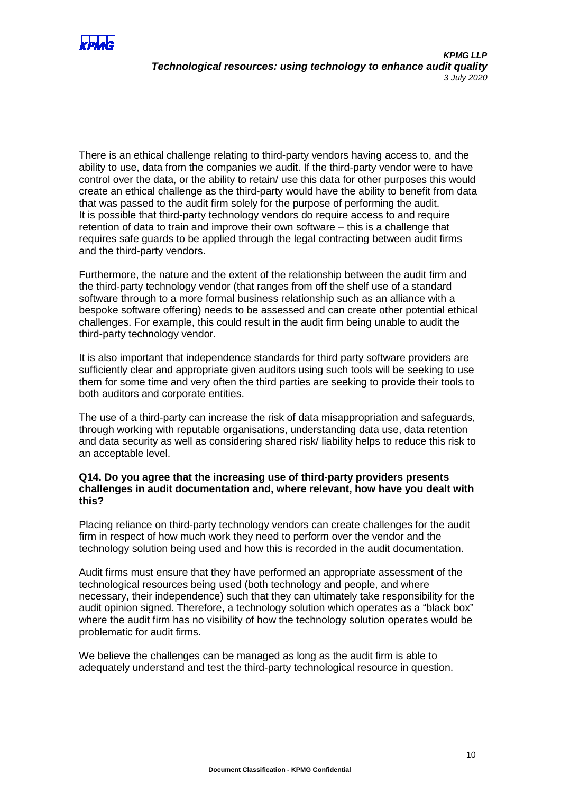

There is an ethical challenge relating to third-party vendors having access to, and the ability to use, data from the companies we audit. If the third-party vendor were to have control over the data, or the ability to retain/ use this data for other purposes this would create an ethical challenge as the third-party would have the ability to benefit from data that was passed to the audit firm solely for the purpose of performing the audit. It is possible that third-party technology vendors do require access to and require retention of data to train and improve their own software – this is a challenge that requires safe guards to be applied through the legal contracting between audit firms and the third-party vendors.

Furthermore, the nature and the extent of the relationship between the audit firm and the third-party technology vendor (that ranges from off the shelf use of a standard software through to a more formal business relationship such as an alliance with a bespoke software offering) needs to be assessed and can create other potential ethical challenges. For example, this could result in the audit firm being unable to audit the third-party technology vendor.

It is also important that independence standards for third party software providers are sufficiently clear and appropriate given auditors using such tools will be seeking to use them for some time and very often the third parties are seeking to provide their tools to both auditors and corporate entities.

The use of a third-party can increase the risk of data misappropriation and safeguards, through working with reputable organisations, understanding data use, data retention and data security as well as considering shared risk/ liability helps to reduce this risk to an acceptable level.

# **Q14. Do you agree that the increasing use of third-party providers presents challenges in audit documentation and, where relevant, how have you dealt with this?**

Placing reliance on third-party technology vendors can create challenges for the audit firm in respect of how much work they need to perform over the vendor and the technology solution being used and how this is recorded in the audit documentation.

Audit firms must ensure that they have performed an appropriate assessment of the technological resources being used (both technology and people, and where necessary, their independence) such that they can ultimately take responsibility for the audit opinion signed. Therefore, a technology solution which operates as a "black box" where the audit firm has no visibility of how the technology solution operates would be problematic for audit firms.

We believe the challenges can be managed as long as the audit firm is able to adequately understand and test the third-party technological resource in question.